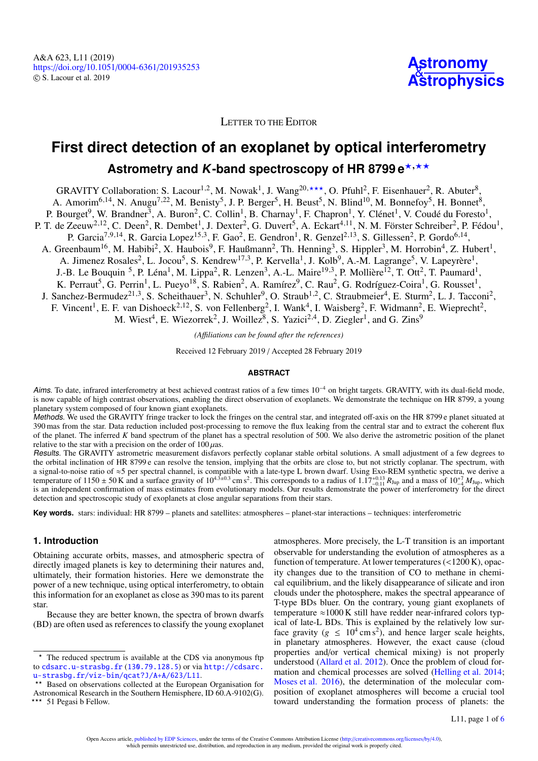

LETTER TO THE EDITOR

# **First direct detection of an exoplanet by optical interferometry** Astrometry and K-band spectroscopy of HR 8799 e<sup>\*,\*\*</sup>

GRAVITY Collaboration: S. Lacour<sup>[1](#page-4-0)[,2](#page-4-1)</sup>, M. Nowak<sup>1</sup>, J. Wang<sup>[20](#page-5-0),\*\*\*</sup>, O. Pfuhl<sup>[2](#page-4-1)</sup>, F. Eisenhauer<sup>2</sup>, R. Abuter<sup>[8](#page-5-1)</sup>, A. Amorim<sup>[6](#page-4-2)[,14](#page-5-2)</sup>, N. Anugu<sup>[7](#page-5-3)[,22](#page-5-4)</sup>, M. Benisty<sup>[5](#page-4-3)</sup>, J. P. Berger<sup>5</sup>, H. Beust<sup>5</sup>, N. Blind<sup>[10](#page-5-5)</sup>, M. Bonnefoy<sup>5</sup>, H. Bonnet<sup>[8](#page-5-1)</sup>, P. Bourget<sup>[9](#page-5-6)</sup>, W. Brandner<sup>[3](#page-4-4)</sup>, A. Buron<sup>[2](#page-4-1)</sup>, C. Collin<sup>[1](#page-4-0)</sup>, B. Charnay<sup>1</sup>, F. Chapron<sup>1</sup>, Y. Clénet<sup>1</sup>, V. Coudé du Foresto<sup>1</sup>, P. T. de Zeeuw<sup>[2](#page-4-1)[,12](#page-5-7)</sup>, C. Deen<sup>2</sup>, R. Dembet<sup>[1](#page-4-0)</sup>, J. Dexter<sup>2</sup>, G. Duvert<sup>[5](#page-4-3)</sup>, A. Eckart<sup>[4](#page-4-5)[,11](#page-5-8)</sup>, N. M. Förster Schreiber<sup>2</sup>, P. Fédou<sup>1</sup>, P. Garcia<sup>[7](#page-5-3)[,9](#page-5-6)[,14](#page-5-2)</sup>, R. Garcia Lopez<sup>[15](#page-5-9)[,3](#page-4-4)</sup>, F. Gao<sup>[2](#page-4-1)</sup>, E. Gendron<sup>[1](#page-4-0)</sup>, R. Genzel<sup>2[,13](#page-5-10)</sup>, S. Gillessen<sup>2</sup>, P. Gordo<sup>[6](#page-4-2),14</sup>, A. Greenbaum<sup>[16](#page-5-11)</sup>, M. Habibi<sup>[2](#page-4-1)</sup>, X. Haubois<sup>[9](#page-5-6)</sup>, F. Haußmann<sup>2</sup>, Th. Henning<sup>[3](#page-4-4)</sup>, S. Hippler<sup>3</sup>, M. Horrobin<sup>[4](#page-4-5)</sup>, Z. Hubert<sup>[1](#page-4-0)</sup>, A. Jimenez Rosales<sup>[2](#page-4-1)</sup>, L. Jocou<sup>[5](#page-4-3)</sup>, S. Kendrew<sup>[17](#page-5-12)[,3](#page-4-4)</sup>, P. Kervella<sup>[1](#page-4-0)</sup>, J. Kolb<sup>[9](#page-5-6)</sup>, A.-M. Lagrange<sup>5</sup>, V. Lapeyrère<sup>1</sup>, J.-B. Le Bouquin <sup>[5](#page-4-3)</sup>, P. Léna<sup>[1](#page-4-0)</sup>, M. Lippa<sup>[2](#page-4-1)</sup>, R. Lenzen<sup>[3](#page-4-4)</sup>, A.-L. Maire<sup>[19](#page-5-13)[,3](#page-4-4)</sup>, P. Mollière<sup>[12](#page-5-7)</sup>, T. Ott<sup>2</sup>, T. Paumard<sup>1</sup>, K. Perraut<sup>[5](#page-4-3)</sup>, G. Perrin<sup>[1](#page-4-0)</sup>, L. Pueyo<sup>[18](#page-5-14)</sup>, S. Rabien<sup>[2](#page-4-1)</sup>, A. Ramírez<sup>[9](#page-5-6)</sup>, C. Rau<sup>2</sup>, G. Rodríguez-Coira<sup>1</sup>, G. Rousset<sup>1</sup>, J. Sanchez-Bermudez<sup>[21](#page-5-15)[,3](#page-4-4)</sup>, S. Scheithauer<sup>[3](#page-4-4)</sup>, N. Schuhler<sup>[9](#page-5-6)</sup>, O. Straub<sup>[1](#page-4-0)[,2](#page-4-1)</sup>, C. Straubmeier<sup>[4](#page-4-5)</sup>, E. Sturm<sup>[2](#page-4-1)</sup>, L. J. Tacconi<sup>2</sup>, F. Vincent<sup>[1](#page-4-0)</sup>, E. F. van Dishoeck<sup>[2](#page-4-1)[,12](#page-5-7)</sup>, S. von Fellenberg<sup>2</sup>, I. Wank<sup>[4](#page-4-5)</sup>, I. Waisberg<sup>2</sup>, F. Widmann<sup>2</sup>, E. Wieprecht<sup>2</sup>,

M. Wiest<sup>[4](#page-4-5)</sup>, E. Wiezorrek<sup>[2](#page-4-1)</sup>, J. Woillez<sup>[8](#page-5-1)</sup>, S. Yazici<sup>2[,4](#page-4-5)</sup>, D. Ziegler<sup>[1](#page-4-0)</sup>, and G. Zins<sup>[9](#page-5-6)</sup>

*(A*ffi*liations can be found after the references)*

Received 12 February 2019 / Accepted 28 February 2019

## **ABSTRACT**

Aims. To date, infrared interferometry at best achieved contrast ratios of a few times 10<sup>−</sup><sup>4</sup> on bright targets. GRAVITY, with its dual-field mode, is now capable of high contrast observations, enabling the direct observation of exoplanets. We demonstrate the technique on HR 8799, a young planetary system composed of four known giant exoplanets.

Methods. We used the GRAVITY fringe tracker to lock the fringes on the central star, and integrated off-axis on the HR 8799 e planet situated at 390 mas from the star. Data reduction included post-processing to remove the flux leaking from the central star and to extract the coherent flux of the planet. The inferred *K* band spectrum of the planet has a spectral resolution of 500. We also derive the astrometric position of the planet relative to the star with a precision on the order of  $100 \mu$ as.

Results. The GRAVITY astrometric measurement disfavors perfectly coplanar stable orbital solutions. A small adjustment of a few degrees to the orbital inclination of HR 8799 e can resolve the tension, implying that the orbits are close to, but not strictly coplanar. The spectrum, with a signal-to-noise ratio of ≈5 per spectral channel, is compatible with a late-type L brown dwarf. Using Exo-REM synthetic spectra, we derive a temperature of 1150 ± 50 K and a surface gravity of 10<sup>4.3±0.3</sup> cm s<sup>2</sup>. This corresponds to a radius of 1.17<sup>+0.13</sup>  $R_{\text{Jup}}$  and a mass of 10<sup>+7</sup><sub></sub>  $M_{\text{Jup}}$ , which<br>is an independent confirmation of mass estimates fro is an independent confirmation of mass estimates from evolutionary models. Our results demonstrate the power of interferometry for the direct detection and spectroscopic study of exoplanets at close angular separations from their stars.

**Key words.** stars: individual: HR 8799 – planets and satellites: atmospheres – planet-star interactions – techniques: interferometric

## **1. Introduction**

Obtaining accurate orbits, masses, and atmospheric spectra of directly imaged planets is key to determining their natures and, ultimately, their formation histories. Here we demonstrate the power of a new technique, using optical interferometry, to obtain this information for an exoplanet as close as 390 mas to its parent star.

Because they are better known, the spectra of brown dwarfs (BD) are often used as references to classify the young exoplanet

atmospheres. More precisely, the L-T transition is an important observable for understanding the evolution of atmospheres as a function of temperature. At lower temperatures (<1200 K), opacity changes due to the transition of CO to methane in chemical equilibrium, and the likely disappearance of silicate and iron clouds under the photosphere, makes the spectral appearance of T-type BDs bluer. On the contrary, young giant exoplanets of temperature  $\approx$ 1000 K still have redder near-infrared colors typical of late-L BDs. This is explained by the relatively low surface gravity ( $g \leq 10^4 \text{ cm s}^2$ ), and hence larger scale heights, in planetary atmospheres. However, the exact cause (cloud properties and/or vertical chemical mixing) is not properly understood [\(Allard et al.](#page-4-6) [2012\)](#page-4-6). Once the problem of cloud formation and chemical processes are solved [\(Helling et al.](#page-4-7) [2014;](#page-4-7) [Moses et al.](#page-4-8) [2016\)](#page-4-8), the determination of the molecular composition of exoplanet atmospheres will become a crucial tool toward understanding the formation process of planets: the

<sup>?</sup> The reduced spectrum is available at the CDS via anonymous ftp to [cdsarc.u-strasbg.fr](http://cdsarc.u-strasbg.fr) ([130.79.128.5](ftp://130.79.128.5)) or via [http://cdsarc.](http://cdsarc.u-strasbg.fr/viz-bin/qcat?J/A+A/623/L11) [u-strasbg.fr/viz-bin/qcat?J/A+A/623/L11](http://cdsarc.u-strasbg.fr/viz-bin/qcat?J/A+A/623/L11).<br>\*\* Reed on shire

Based on observations collected at the European Organisation for Astronomical Research in the Southern Hemisphere, ID 60.A-9102(G). \*\*\* 51 Pegasi b Fellow.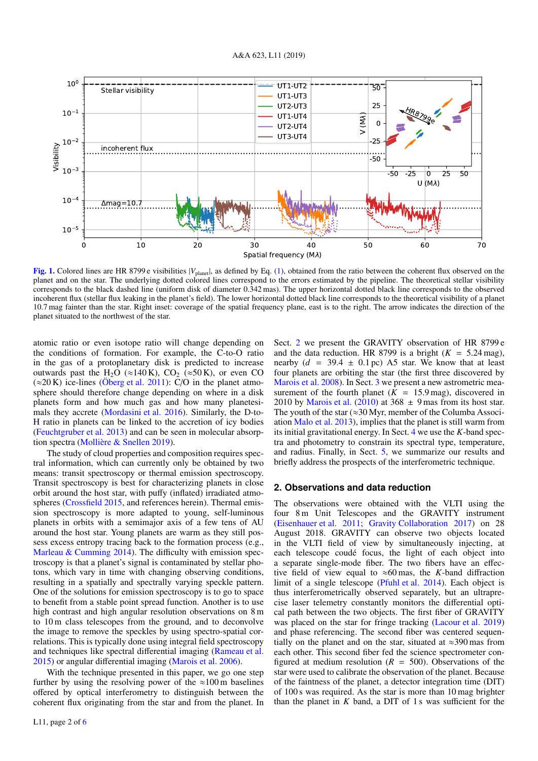

<span id="page-1-1"></span>[Fig. 1.](https://dexter.edpsciences.org/applet.php?DOI=10.1051/0004-6361/201935253&pdf_id=1) Colored lines are HR 8799 e visibilities |*V*<sub>planet</sub>|, as defined by Eq. [\(1\)](#page-2-0), obtained from the ratio between the coherent flux observed on the planet and on the star. The underlying dotted colored lines correspond to the errors estimated by the pipeline. The theoretical stellar visibility corresponds to the black dashed line (uniform disk of diameter 0.342 mas). The upper horizontal dotted black line corresponds to the observed incoherent flux (stellar flux leaking in the planet's field). The lower horizontal dotted black line corresponds to the theoretical visibility of a planet 10.7 mag fainter than the star. Right inset: coverage of the spatial frequency plane, east is to the right. The arrow indicates the direction of the planet situated to the northwest of the star.

atomic ratio or even isotope ratio will change depending on the conditions of formation. For example, the C-to-O ratio in the gas of a protoplanetary disk is predicted to increase outwards past the H<sub>2</sub>O ( $\approx$ 140 K), CO<sub>2</sub> ( $\approx$ 50 K), or even CO  $(\approx 20 \text{ K})$  ice-lines [\(Öberg et al.](#page-4-9) [2011\)](#page-4-9): C/O in the planet atmosphere should therefore change depending on where in a disk planets form and how much gas and how many planetesimals they accrete [\(Mordasini et al.](#page-4-10) [2016\)](#page-4-10). Similarly, the D-to-H ratio in planets can be linked to the accretion of icy bodies [\(Feuchtgruber et al.](#page-4-11) [2013\)](#page-4-11) and can be seen in molecular absorption spectra [\(Mollière & Snellen](#page-4-12) [2019\)](#page-4-12).

The study of cloud properties and composition requires spectral information, which can currently only be obtained by two means: transit spectroscopy or thermal emission spectroscopy. Transit spectroscopy is best for characterizing planets in close orbit around the host star, with puffy (inflated) irradiated atmospheres [\(Crossfield](#page-4-13) [2015,](#page-4-13) and references herein). Thermal emission spectroscopy is more adapted to young, self-luminous planets in orbits with a semimajor axis of a few tens of AU around the host star. Young planets are warm as they still possess excess entropy tracing back to the formation process (e.g., [Marleau & Cumming](#page-4-14) [2014\)](#page-4-14). The difficulty with emission spectroscopy is that a planet's signal is contaminated by stellar photons, which vary in time with changing observing conditions, resulting in a spatially and spectrally varying speckle pattern. One of the solutions for emission spectroscopy is to go to space to benefit from a stable point spread function. Another is to use high contrast and high angular resolution observations on 8 m to 10 m class telescopes from the ground, and to deconvolve the image to remove the speckles by using spectro-spatial correlations. This is typically done using integral field spectroscopy and techniques like spectral differential imaging [\(Rameau et al.](#page-4-15) [2015\)](#page-4-15) or angular differential imaging [\(Marois et al.](#page-4-16) [2006\)](#page-4-16).

With the technique presented in this paper, we go one step further by using the resolving power of the  $\approx 100 \text{ m}$  baselines offered by optical interferometry to distinguish between the coherent flux originating from the star and from the planet. In

Sect. [2](#page-1-0) we present the GRAVITY observation of HR 8799 e and the data reduction. HR 8799 is a bright  $(K = 5.24 \text{ mag})$ , nearby  $(d = 39.4 \pm 0.1 \text{ pc})$  A5 star. We know that at least four planets are orbiting the star (the first three discovered by [Marois et al.](#page-4-17) [2008\)](#page-4-17). In Sect. [3](#page-2-1) we present a new astrometric measurement of the fourth planet  $(K = 15.9 \text{ mag})$ , discovered in 2010 by [Marois et al.](#page-4-18) [\(2010\)](#page-4-18) at  $368 \pm 9$  mas from its host star. The youth of the star ( $\approx 30$  Myr, member of the Columba Association [Malo et al.](#page-4-19) [2013\)](#page-4-19), implies that the planet is still warm from its initial gravitational energy. In Sect. [4](#page-3-0) we use the *K*-band spectra and photometry to constrain its spectral type, temperature, and radius. Finally, in Sect. [5,](#page-4-20) we summarize our results and briefly address the prospects of the interferometric technique.

#### <span id="page-1-0"></span>**2. Observations and data reduction**

The observations were obtained with the VLTI using the four 8 m Unit Telescopes and the GRAVITY instrument [\(Eisenhauer et al.](#page-4-21) [2011;](#page-4-21) [Gravity Collaboration](#page-4-22) [2017\)](#page-4-22) on 28 August 2018. GRAVITY can observe two objects located in the VLTI field of view by simultaneously injecting, at each telescope coudé focus, the light of each object into a separate single-mode fiber. The two fibers have an effective field of view equal to  $\approx 60$  mas, the *K*-band diffraction limit of a single telescope [\(Pfuhl et al.](#page-4-23) [2014\)](#page-4-23). Each object is thus interferometrically observed separately, but an ultraprecise laser telemetry constantly monitors the differential optical path between the two objects. The first fiber of GRAVITY was placed on the star for fringe tracking [\(Lacour et al.](#page-4-24) [2019\)](#page-4-24) and phase referencing. The second fiber was centered sequentially on the planet and on the star, situated at  $\approx$ 390 mas from each other. This second fiber fed the science spectrometer configured at medium resolution  $(R = 500)$ . Observations of the star were used to calibrate the observation of the planet. Because of the faintness of the planet, a detector integration time (DIT) of 100 s was required. As the star is more than 10 mag brighter than the planet in  $K$  band, a DIT of 1 s was sufficient for the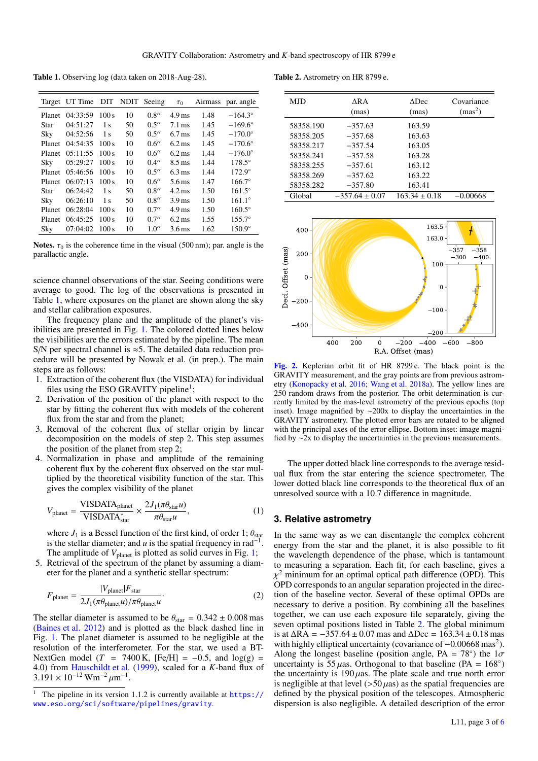<span id="page-2-2"></span>Table 1. Observing log (data taken on 2018-Aug-28).

|               | Target UT Time |                |    | DIT NDIT Seeing | $\tau_0$            |      | Airmass par. angle |
|---------------|----------------|----------------|----|-----------------|---------------------|------|--------------------|
| <b>Planet</b> | 04:33:59       | 100 s          | 10 | 0.8''           | $4.9 \,\mathrm{ms}$ | 1.48 | $-164.3^{\circ}$   |
| Star          | 04:51:27       | 1 <sub>s</sub> | 50 | 0.5''           | $7.1 \,\mathrm{ms}$ | 1.45 | $-169.6^{\circ}$   |
| Sky           | 04:52:56       | 1 <sub>s</sub> | 50 | 0.5''           | $6.7 \,\mathrm{ms}$ | 1.45 | $-170.0^{\circ}$   |
| Planet        | 04:54:35       | 100 s          | 10 | 0.6''           | $6.2 \,\mathrm{ms}$ | 1.45 | $-170.6^{\circ}$   |
| <b>Planet</b> | 05:11:55       | 100 s          | 10 | 0.6''           | $6.2 \,\mathrm{ms}$ | 1.44 | $-176.0^{\circ}$   |
| Sky           | 05:29:27       | 100 s          | 10 | 0.4''           | $8.5 \,\mathrm{ms}$ | 1.44 | $178.5^\circ$      |
| Planet        | 05:46:56       | 100 s          | 10 | 0.5''           | $6.3 \,\mathrm{ms}$ | 1.44 | $172.9^\circ$      |
| Planet        | 06:07:13       | 100 s          | 10 | 0.6''           | $5.6 \,\mathrm{ms}$ | 1.47 | $166.7^\circ$      |
| Star          | 06:24:42       | 1 <sub>s</sub> | 50 | 0.8''           | $4.2 \,\mathrm{ms}$ | 1.50 | $161.5^{\circ}$    |
| Sky           | 06:26:10       | 1 <sub>s</sub> | 50 | 0.8''           | $3.9 \,\mathrm{ms}$ | 1.50 | $161.1^\circ$      |
| <b>Planet</b> | 06:28:04       | 100 s          | 10 | 0.7''           | $4.9 \,\mathrm{ms}$ | 1.50 | $160.5^\circ$      |
| Planet        | 06:45:25       | 100 s          | 10 | 0.7''           | $6.2 \,\mathrm{ms}$ | 1.55 | $155.7^{\circ}$    |
| Sky           | 07:04:02       | 100 s          | 10 | 1.0''           | $3.6 \,\mathrm{ms}$ | 1.62 | $150.9^\circ$      |

Notes.  $\tau_0$  is the coherence time in the visual (500 nm); par. angle is the parallactic angle.

science channel observations of the star. Seeing conditions were average to good. The log of the observations is presented in Table [1,](#page-2-2) where exposures on the planet are shown along the sky and stellar calibration exposures.

The frequency plane and the amplitude of the planet's visibilities are presented in Fig. [1.](#page-1-1) The colored dotted lines below the visibilities are the errors estimated by the pipeline. The mean S/N per spectral channel is  $\approx$ 5. The detailed data reduction procedure will be presented by Nowak et al. (in prep.). The main steps are as follows:

- 1. Extraction of the coherent flux (the VISDATA) for individual files using the ESO GRAVITY pipeline<sup>[1](#page-2-3)</sup>;
- 2. Derivation of the position of the planet with respect to the star by fitting the coherent flux with models of the coherent flux from the star and from the planet;
- 3. Removal of the coherent flux of stellar origin by linear decomposition on the models of step 2. This step assumes the position of the planet from step 2;
- 4. Normalization in phase and amplitude of the remaining coherent flux by the coherent flux observed on the star multiplied by the theoretical visibility function of the star. This gives the complex visibility of the planet

$$
V_{\text{planet}} = \frac{\text{VISDATA}_{\text{planet}}}{\text{VISDATA}_{\text{star}}^{*}} \times \frac{2J_{1}(\pi\theta_{\text{star}}u)}{\pi\theta_{\text{star}}u},\tag{1}
$$

where  $J_1$  is a Bessel function of the first kind, of order 1;  $\theta_{\text{star}}$ is the stellar diameter; and  $u$  is the spatial frequency in  $rad^{-1}$ . The amplitude of  $V_{\text{planet}}$  is plotted as solid curves in Fig. [1;](#page-1-1)

5. Retrieval of the spectrum of the planet by assuming a diameter for the planet and a synthetic stellar spectrum:

$$
F_{\text{planet}} = \frac{|V_{\text{planet}}|F_{\text{star}}}{2J_1(\pi\theta_{\text{planet}}u)/\pi\theta_{\text{planet}}u}.
$$
 (2)

The stellar diameter is assumed to be  $\theta_{\text{star}} = 0.342 \pm 0.008$  mas [\(Baines et al.](#page-4-25) [2012\)](#page-4-25) and is plotted as the black dashed line in Fig. [1.](#page-1-1) The planet diameter is assumed to be negligible at the resolution of the interferometer. For the star, we used a BT-NextGen model ( $T = 7400$  K, [Fe/H] =  $-0.5$ , and  $log(g)$  = <sup>4</sup>.0) from [Hauschildt et al.](#page-4-26) [\(1999\)](#page-4-26), scaled for a *<sup>K</sup>*-band flux of  $3.191 \times 10^{-12}$  Wm<sup>-2</sup>  $\mu$ m<sup>-1</sup>.

Table 2. Astrometry on HR 8799 e.

<span id="page-2-4"></span>

| <b>MJD</b> | ARA<br>(mas)       | <b>ADec</b><br>(mas) | Covariance<br>(mas <sup>2</sup> ) |
|------------|--------------------|----------------------|-----------------------------------|
| 58358.190  | $-357.63$          | 163.59               |                                   |
| 58358.205  | $-357.68$          | 163.63               |                                   |
| 58358.217  | $-357.54$          | 163.05               |                                   |
| 58358.241  | $-357.58$          | 163.28               |                                   |
| 58358.255  | $-357.61$          | 163.12               |                                   |
| 58358.269  | $-357.62$          | 163.22               |                                   |
| 58358.282  | $-357.80$          | 163.41               |                                   |
| Global     | $-357.64 \pm 0.07$ | $163.34 \pm 0.18$    | $-0.00668$                        |



<span id="page-2-5"></span>[Fig. 2.](https://dexter.edpsciences.org/applet.php?DOI=10.1051/0004-6361/201935253&pdf_id=2) Keplerian orbit fit of HR 8799 e. The black point is the GRAVITY measurement, and the gray points are from previous astrometry [\(Konopacky et al.](#page-4-27) [2016;](#page-4-27) [Wang et al.](#page-4-28) [2018a\)](#page-4-28). The yellow lines are 250 random draws from the posterior. The orbit determination is currently limited by the mas-level astrometry of the previous epochs (top inset). Image magnified by ∼200x to display the uncertainties in the GRAVITY astrometry. The plotted error bars are rotated to be aligned with the principal axes of the error ellipse. Bottom inset: image magnified by ∼2x to display the uncertainties in the previous measurements.

<span id="page-2-0"></span>The upper dotted black line corresponds to the average residual flux from the star entering the science spectrometer. The lower dotted black line corresponds to the theoretical flux of an unresolved source with a 10.7 difference in magnitude.

# <span id="page-2-1"></span>**3. Relative astrometry**

<span id="page-2-6"></span>In the same way as we can disentangle the complex coherent energy from the star and the planet, it is also possible to fit the wavelength dependence of the phase, which is tantamount to measuring a separation. Each fit, for each baseline, gives a χ OPD corresponds to an angular separation projected in the direc- $\chi^2$  minimum for an optimal optical path difference (OPD). This tion of the baseline vector. Several of these optimal OPDs are necessary to derive a position. By combining all the baselines together, we can use each exposure file separately, giving the seven optimal positions listed in Table [2.](#page-2-4) The global minimum is at <sup>∆</sup>RA <sup>=</sup> <sup>−</sup>357.<sup>64</sup> <sup>±</sup> <sup>0</sup>.07 mas and <sup>∆</sup>Dec <sup>=</sup> <sup>163</sup>.<sup>34</sup> <sup>±</sup> <sup>0</sup>.18 mas with highly elliptical uncertainty (covariance of -0.00668 mas<sup>2</sup>). Along the longest baseline (position angle, PA = 78°) the  $1\sigma$ <br>uncertainty is 55 uses. Orthogonal to that baseline (PA = 168°) uncertainty is  $55 \mu$ as. Orthogonal to that baseline (PA =  $168^{\circ}$ )<br>the uncertainty is  $190 \mu$ as. The plate scale and true north error the uncertainty is  $190 \mu$ as. The plate scale and true north error is negligible at that level  $(50 \mu as)$  as the spatial frequencies are defined by the physical position of the telescopes. Atmospheric dispersion is also negligible. A detailed description of the error

<span id="page-2-3"></span><sup>1</sup> The pipeline in its version 1.1.2 is currently available at [https://](https://www.eso.org/sci/software/pipelines/gravity) [www.eso.org/sci/software/pipelines/gravity](https://www.eso.org/sci/software/pipelines/gravity).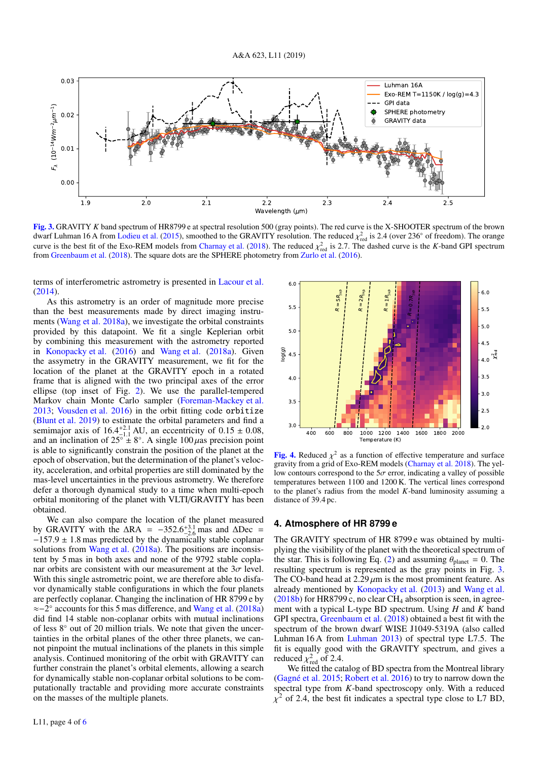

<span id="page-3-1"></span>[Fig. 3.](https://dexter.edpsciences.org/applet.php?DOI=10.1051/0004-6361/201935253&pdf_id=3) GRAVITY *K* band spectrum of HR8799 e at spectral resolution 500 (gray points). The red curve is the X-SHOOTER spectrum of the brown dwarf Luhman 16 A from [Lodieu et al.](#page-4-29) [\(2015\)](#page-4-29), smoothed to the GRAVITY resolution. The reduced  $\chi^2_{\text{red}}$  is 2.4 (over 236° of freedom). The orange<br>curve is the best fit of the Exo-REM models from Charnay et al. (2018). T curve is the best fit of the Exo-REM models from [Charnay et al.](#page-4-30) [\(2018\)](#page-4-30). The reduced  $\chi^2_{\text{red}}$  is 2.7. The dashed curve is the *K*-band GPI spectrum from Greenbaum et al. (2018). The square dots are the SPHERE photometr from [Greenbaum et al.](#page-4-31) [\(2018\)](#page-4-31). The square dots are the SPHERE photometry from [Zurlo et al.](#page-4-32) [\(2016\)](#page-4-32).

terms of interferometric astrometry is presented in [Lacour et al.](#page-4-33) [\(2014\)](#page-4-33).

As this astrometry is an order of magnitude more precise than the best measurements made by direct imaging instruments [\(Wang et al.](#page-4-28) [2018a\)](#page-4-28), we investigate the orbital constraints provided by this datapoint. We fit a single Keplerian orbit by combining this measurement with the astrometry reported in [Konopacky et al.](#page-4-27) [\(2016\)](#page-4-27) and [Wang et al.](#page-4-28) [\(2018a\)](#page-4-28). Given the assymetry in the GRAVITY measurement, we fit for the location of the planet at the GRAVITY epoch in a rotated frame that is aligned with the two principal axes of the error ellipse (top inset of Fig. [2\)](#page-2-5). We use the parallel-tempered Markov chain Monte Carlo sampler [\(Foreman-Mackey et al.](#page-4-34) [2013;](#page-4-34) [Vousden et al.](#page-4-35) [2016\)](#page-4-35) in the orbit fitting code orbitize [\(Blunt et al.](#page-4-36) [2019\)](#page-4-36) to estimate the orbital parameters and find a semimajor axis of  $16.4^{+2.1}_{-1.1}$  AU, an eccentricity of  $0.15 \pm 0.08$ , and an inclination of  $25^{\circ} \pm 8^{\circ}$ . A single  $100 \mu$ as precision point is able to significantly constrain the position of the planet at the is able to significantly constrain the position of the planet at the epoch of observation, but the determination of the planet's velocity, acceleration, and orbital properties are still dominated by the mas-level uncertainties in the previous astrometry. We therefore defer a thorough dynamical study to a time when multi-epoch orbital monitoring of the planet with VLTI/GRAVITY has been obtained.

We can also compare the location of the planet measured by GRAVITY with the  $\Delta RA = -352.6^{+3.1}_{-2.6}$  mas and  $\Delta Dec = -157.9 + 1.8$  mas predicted by the dynamically stable coplanar  $-157.9 \pm 1.8$  mas predicted by the dynamically stable coplanar solutions from [Wang et al.](#page-4-28) [\(2018a\)](#page-4-28). The positions are inconsistent by 5 mas in both axes and none of the 9792 stable coplanar orbits are consistent with our measurement at the  $3\sigma$  level. With this single astrometric point, we are therefore able to disfavor dynamically stable configurations in which the four planets are perfectly coplanar. Changing the inclination of HR 8799 e by ≈−2 ◦ accounts for this 5 mas difference, and [Wang et al.](#page-4-28) [\(2018a\)](#page-4-28) did find 14 stable non-coplanar orbits with mutual inclinations of less 8◦ out of 20 million trials. We note that given the uncertainties in the orbital planes of the other three planets, we cannot pinpoint the mutual inclinations of the planets in this simple analysis. Continued monitoring of the orbit with GRAVITY can further constrain the planet's orbital elements, allowing a search for dynamically stable non-coplanar orbital solutions to be computationally tractable and providing more accurate constraints on the masses of the multiple planets.



<span id="page-3-2"></span>**[Fig. 4.](https://dexter.edpsciences.org/applet.php?DOI=10.1051/0004-6361/201935253&pdf_id=4)** Reduced  $\chi^2$  as a function of effective temperature and surface prayity from a grid of Exo-REM models (Charnay et al. 2018). The yelgravity from a grid of Exo-REM models [\(Charnay et al.](#page-4-30) [2018\)](#page-4-30). The yellow contours correspond to the  $5\sigma$  error, indicating a valley of possible temperatures between 1100 and 1200 K. The vertical lines correspond to the planet's radius from the model *K*-band luminosity assuming a distance of 39.4 pc.

## <span id="page-3-0"></span>**4. Atmosphere of HR 8799 e**

The GRAVITY spectrum of HR 8799 e was obtained by multiplying the visibility of the planet with the theoretical spectrum of the star. This is following Eq. [\(2\)](#page-2-6) and assuming  $\theta_{\text{planet}} = 0$ . The resulting spectrum is represented as the gray points in Fig. [3.](#page-3-1) The CO-band head at  $2.29 \mu m$  is the most prominent feature. As already mentioned by [Konopacky et al.](#page-4-37) [\(2013\)](#page-4-37) and [Wang et al.](#page-4-38)  $(2018b)$  for HR8799 c, no clear CH<sub>4</sub> absorption is seen, in agreement with a typical L-type BD spectrum. Using *H* and *K* band GPI spectra, [Greenbaum et al.](#page-4-31) [\(2018\)](#page-4-31) obtained a best fit with the spectrum of the brown dwarf WISE J1049-5319A (also called Luhman 16 A from [Luhman](#page-4-39) [2013\)](#page-4-39) of spectral type L7.5. The fit is equally good with the GRAVITY spectrum, and gives a reduced  $\chi^2_{\text{red}}$  of 2.4.<br>We fitted the ca

We fitted the catalog of BD spectra from the Montreal library [\(Gagné et al.](#page-4-40) [2015;](#page-4-40) [Robert et al.](#page-4-41) [2016\)](#page-4-41) to try to narrow down the spectral type from *K*-band spectroscopy only. With a reduced  $\chi^2$  of 2.4, the best fit indicates a spectral type close to L7 BD,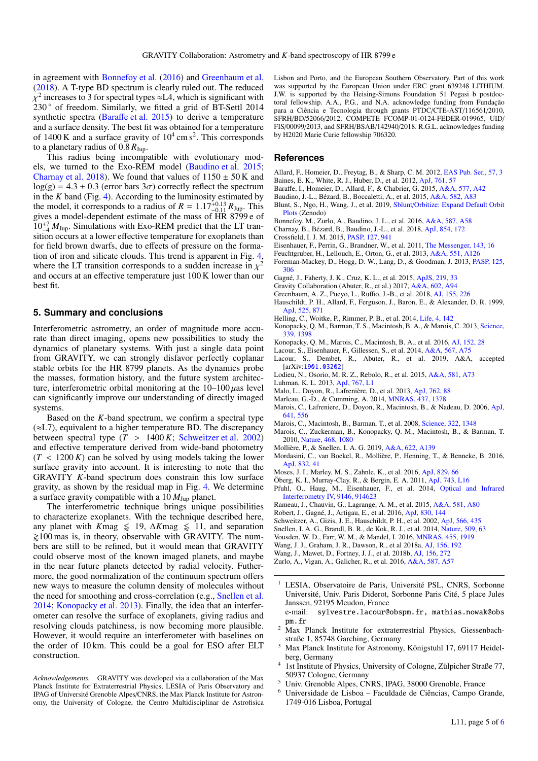in agreement with [Bonnefoy et al.](#page-4-42) [\(2016\)](#page-4-42) and [Greenbaum et al.](#page-4-31) [\(2018\)](#page-4-31). A T-type BD spectrum is clearly ruled out. The reduced 230° of freedom. Similarly, we fitted a grid of BT-Settl 2014 <sup>2</sup> increases to 3 for spectral types  $\approx$ L4, which is significant with synthetic spectra (Baraff[e et al.](#page-4-43) [2015\)](#page-4-43) to derive a temperature and a surface density. The best fit was obtained for a temperature of  $1400 \text{ K}$  and a surface gravity of  $10^4 \text{ cm s}^2$ . This corresponds to a planetary radius of  $0.8 R_{Jup}$ .

This radius being incompatible with evolutionary models, we turned to the Exo-REM model [\(Baudino et al.](#page-4-44) [2015;](#page-4-44) [Charnay et al.](#page-4-30) [2018\)](#page-4-30). We found that values of  $1150 \pm 50$  K and  $log(g) = 4.3 \pm 0.3$  (error bars  $3\sigma$ ) correctly reflect the spectrum in the *K* band (Fig. [4\)](#page-3-2). According to the luminosity estimated by the model, it corresponds to a radius of  $R = 1.17^{+0.13}_{-0.11} R_{\text{Jup}}$ . This gives a model-dependent estimate of the mass of HR 8799 e of gives a model-dependent estimate of the mass of HR 8799 e of  $10^{-7}_{-4} M_{\text{Jup}}$ . Simulations with Exo-REM predict that the LT transition occurs at a lower effective temperature for exoplanets than for field brown dwarfs, due to effects of pressure on the formation of iron and silicate clouds. This trend is apparent in Fig. [4,](#page-3-2) where the LT transition corresponds to a sudden increase in  $\chi^2$ <br>and occurs at an effective temperature just 100 K lower than our and occurs at an effective temperature just 100 K lower than our best fit.

## <span id="page-4-20"></span>**5. Summary and conclusions**

Interferometric astrometry, an order of magnitude more accurate than direct imaging, opens new possibilities to study the dynamics of planetary systems. With just a single data point from GRAVITY, we can strongly disfavor perfectly coplanar stable orbits for the HR 8799 planets. As the dynamics probe the masses, formation history, and the future system architecture, interferometric orbital monitoring at the  $10-100 \mu$ as level can significantly improve our understanding of directly imaged systems.

Based on the *K*-band spectrum, we confirm a spectral type  $(\approx L7)$ , equivalent to a higher temperature BD. The discrepancy between spectral type  $(T > 1400 K;$  [Schweitzer et al.](#page-4-45) [2002\)](#page-4-45) and effective temperature derived from wide-band photometry  $(T < 1200 K)$  can be solved by using models taking the lower surface gravity into account. It is interesting to note that the GRAVITY *K*-band spectrum does constrain this low surface gravity, as shown by the residual map in Fig. [4.](#page-3-2) We determine a surface gravity compatible with a  $10 M_{Jup}$  planet.

The interferometric technique brings unique possibilities to characterize exoplanets. With the technique described here, any planet with *K*mag  $\leq 19$ , ∆*Kmag*  $\leq 11$ , and separation  $\geq 100$  mas is, in theory, observable with GRAVITY. The numbers are still to be refined, but it would mean that GRAVITY could observe most of the known imaged planets, and maybe in the near future planets detected by radial velocity. Futhermore, the good normalization of the continuum spectrum offers new ways to measure the column density of molecules without the need for smoothing and cross-correlation (e.g., [Snellen et al.](#page-4-46) [2014;](#page-4-46) [Konopacky et al.](#page-4-37) [2013\)](#page-4-37). Finally, the idea that an interferometer can resolve the surface of exoplanets, giving radius and resolving clouds patchiness, is now becoming more plausible. However, it would require an interferometer with baselines on the order of 10 km. This could be a goal for ESO after ELT construction.

*Acknowledgements.* GRAVITY was developed via a collaboration of the Max Planck Institute for Extraterrestrial Physics, LESIA of Paris Observatory and IPAG of Université Grenoble Alpes/CNRS, the Max Planck Institute for Astronomy, the University of Cologne, the Centro Multidisciplinar de Astrofisica

Lisbon and Porto, and the European Southern Observatory. Part of this work was supported by the European Union under ERC grant 639248 LITHIUM. J.W. is supported by the Heising-Simons Foundation 51 Pegasi b postdoctoral fellowship. A.A., P.G., and N.A. acknowledge funding from Fundação para a Ciência e Tecnologia through grants PTDC/CTE-AST/116561/2010, SFRH/BD/52066/2012, COMPETE FCOMP-01-0124-FEDER-019965, UID/ FIS/00099/2013, and SFRH/BSAB/142940/2018. R.G.L. acknowledges funding by H2020 Marie Curie fellowship 706320.

## **References**

- <span id="page-4-6"></span>Allard, F., Homeier, D., Freytag, B., & Sharp, C. M. 2012, [EAS Pub. Ser., 57, 3](http://linker.aanda.org/10.1051/0004-6361/201935253/1)
- <span id="page-4-25"></span>Baines, E. K., White, R. J., Huber, D., et al. 2012, [ApJ, 761, 57](http://linker.aanda.org/10.1051/0004-6361/201935253/2)
- <span id="page-4-43"></span>Baraffe, I., Homeier, D., Allard, F., & Chabrier, G. 2015, [A&A, 577, A42](http://linker.aanda.org/10.1051/0004-6361/201935253/3)
- <span id="page-4-44"></span>Baudino, J.-L., Bézard, B., Boccaletti, A., et al. 2015, [A&A, 582, A83](http://linker.aanda.org/10.1051/0004-6361/201935253/4)
- <span id="page-4-36"></span>Blunt, S., Ngo, H., Wang, J., et al. 2019, Sblunt/[Orbitize: Expand Default Orbit](http://linker.aanda.org/10.1051/0004-6361/201935253/5) [Plots](http://linker.aanda.org/10.1051/0004-6361/201935253/5) (Zenodo)
- <span id="page-4-42"></span>Bonnefoy, M., Zurlo, A., Baudino, J. L., et al. 2016, [A&A, 587, A58](http://linker.aanda.org/10.1051/0004-6361/201935253/6)
- <span id="page-4-30"></span>Charnay, B., Bézard, B., Baudino, J.-L., et al. 2018, [ApJ, 854, 172](http://linker.aanda.org/10.1051/0004-6361/201935253/7)
- <span id="page-4-13"></span>Crossfield, I. J. M. 2015, [PASP, 127, 941](http://linker.aanda.org/10.1051/0004-6361/201935253/8)
- <span id="page-4-21"></span>Eisenhauer, F., Perrin, G., Brandner, W., et al. 2011, [The Messenger, 143, 16](http://linker.aanda.org/10.1051/0004-6361/201935253/9)
- <span id="page-4-11"></span>Feuchtgruber, H., Lellouch, E., Orton, G., et al. 2013, [A&A, 551, A126](http://linker.aanda.org/10.1051/0004-6361/201935253/10)
- <span id="page-4-34"></span>Foreman-Mackey, D., Hogg, D. W., Lang, D., & Goodman, J. 2013, [PASP, 125,](http://linker.aanda.org/10.1051/0004-6361/201935253/11) [306](http://linker.aanda.org/10.1051/0004-6361/201935253/11)
- <span id="page-4-40"></span>Gagné, J., Faherty, J. K., Cruz, K. L., et al. 2015, [ApJS, 219, 33](http://linker.aanda.org/10.1051/0004-6361/201935253/12)
- <span id="page-4-22"></span>Gravity Collaboration (Abuter, R., et al.) 2017, [A&A, 602, A94](http://linker.aanda.org/10.1051/0004-6361/201935253/13)
- <span id="page-4-31"></span>Greenbaum, A. Z., Pueyo, L., Ruffio, J.-B., et al. 2018, [AJ, 155, 226](http://linker.aanda.org/10.1051/0004-6361/201935253/14)
- <span id="page-4-26"></span>Hauschildt, P. H., Allard, F., Ferguson, J., Baron, E., & Alexander, D. R. 1999, [ApJ, 525, 871](http://linker.aanda.org/10.1051/0004-6361/201935253/15)
- <span id="page-4-7"></span>Helling, C., Woitke, P., Rimmer, P. B., et al. 2014, [Life, 4, 142](http://linker.aanda.org/10.1051/0004-6361/201935253/16)
- <span id="page-4-37"></span>Konopacky, Q. M., Barman, T. S., Macintosh, B. A., & Marois, C. 2013, [Science,](http://linker.aanda.org/10.1051/0004-6361/201935253/17) [339, 1398](http://linker.aanda.org/10.1051/0004-6361/201935253/17)
- <span id="page-4-27"></span>Konopacky, Q. M., Marois, C., Macintosh, B. A., et al. 2016, [AJ, 152, 28](http://linker.aanda.org/10.1051/0004-6361/201935253/18)
- <span id="page-4-33"></span>Lacour, S., Eisenhauer, F., Gillessen, S., et al. 2014, [A&A, 567, A75](http://linker.aanda.org/10.1051/0004-6361/201935253/19)
- <span id="page-4-24"></span>Lacour, S., Dembet, R., Abuter, R., et al. 2019, A&A, accepted [arXiv:[1901.03202](https://arxiv.org/abs/1901.03202)]
- <span id="page-4-39"></span><span id="page-4-29"></span>Lodieu, N., Osorio, M. R. Z., Rebolo, R., et al. 2015, [A&A, 581, A73](http://linker.aanda.org/10.1051/0004-6361/201935253/21) Luhman, K. L. 2013, [ApJ, 767, L1](http://linker.aanda.org/10.1051/0004-6361/201935253/22)
- <span id="page-4-19"></span>Malo, L., Doyon, R., Lafrenière, D., et al. 2013, [ApJ, 762, 88](http://linker.aanda.org/10.1051/0004-6361/201935253/23)
- <span id="page-4-14"></span>Marleau, G.-D., & Cumming, A. 2014, [MNRAS, 437, 1378](http://linker.aanda.org/10.1051/0004-6361/201935253/24)
- <span id="page-4-16"></span>Marois, C., Lafreniere, D., Doyon, R., Macintosh, B., & Nadeau, D. 2006, [ApJ,](http://linker.aanda.org/10.1051/0004-6361/201935253/25) [641, 556](http://linker.aanda.org/10.1051/0004-6361/201935253/25)
- <span id="page-4-17"></span>Marois, C., Macintosh, B., Barman, T., et al. 2008, [Science, 322, 1348](http://linker.aanda.org/10.1051/0004-6361/201935253/26)
- <span id="page-4-18"></span>Marois, C., Zuckerman, B., Konopacky, Q. M., Macintosh, B., & Barman, T. 2010, [Nature, 468, 1080](http://linker.aanda.org/10.1051/0004-6361/201935253/27)
- <span id="page-4-12"></span>Mollière, P., & Snellen, I. A. G. 2019, [A&A, 622, A139](http://linker.aanda.org/10.1051/0004-6361/201935253/28)
- <span id="page-4-10"></span>Mordasini, C., van Boekel, R., Mollière, P., Henning, T., & Benneke, B. 2016, [ApJ, 832, 41](http://linker.aanda.org/10.1051/0004-6361/201935253/29)
- <span id="page-4-8"></span>Moses, J. I., Marley, M. S., Zahnle, K., et al. 2016, [ApJ, 829, 66](http://linker.aanda.org/10.1051/0004-6361/201935253/30)
- <span id="page-4-23"></span><span id="page-4-9"></span>Öberg, K. I., Murray-Clay, R., & Bergin, E. A. 2011, [ApJ, 743, L16](http://linker.aanda.org/10.1051/0004-6361/201935253/31) Pfuhl, O., Haug, M., Eisenhauer, F., et al. 2014, [Optical and Infrared](http://linker.aanda.org/10.1051/0004-6361/201935253/32) [Interferometry IV, 9146, 914623](http://linker.aanda.org/10.1051/0004-6361/201935253/32)
- <span id="page-4-15"></span>Rameau, J., Chauvin, G., Lagrange, A. M., et al. 2015, [A&A, 581, A80](http://linker.aanda.org/10.1051/0004-6361/201935253/33)
- <span id="page-4-41"></span>Robert, J., Gagné, J., Artigau, E., et al. 2016, [ApJ, 830, 144](http://linker.aanda.org/10.1051/0004-6361/201935253/34)
- <span id="page-4-45"></span>Schweitzer, A., Gizis, J. E., Hauschildt, P. H., et al. 2002, [ApJ, 566, 435](http://linker.aanda.org/10.1051/0004-6361/201935253/35)
- <span id="page-4-46"></span>Snellen, I. A. G., Brandl, B. R., de Kok, R. J., et al. 2014, [Nature, 509, 63](http://linker.aanda.org/10.1051/0004-6361/201935253/36)

<span id="page-4-35"></span>Vousden, W. D., Farr, W. M., & Mandel, I. 2016, [MNRAS, 455, 1919](http://linker.aanda.org/10.1051/0004-6361/201935253/37)

- <span id="page-4-28"></span>Wang, J. J., Graham, J. R., Dawson, R., et al 2018a, [AJ, 156, 192](http://linker.aanda.org/10.1051/0004-6361/201935253/38)
- <span id="page-4-38"></span>Wang, J., Mawet, D., Fortney, J. J., et al. 2018b, [AJ, 156, 272](http://linker.aanda.org/10.1051/0004-6361/201935253/39)
- <span id="page-4-32"></span>Zurlo, A., Vigan, A., Galicher, R., et al. 2016, [A&A, 587, A57](http://linker.aanda.org/10.1051/0004-6361/201935253/40)
- <span id="page-4-0"></span><sup>1</sup> LESIA, Observatoire de Paris, Université PSL, CNRS, Sorbonne Université, Univ. Paris Diderot, Sorbonne Paris Cité, 5 place Jules Janssen, 92195 Meudon, France
- e-mail: sylvestre.lacour@obspm.fr, mathias.nowak@obs pm.fr
- <span id="page-4-1"></span><sup>2</sup> Max Planck Institute for extraterrestrial Physics, Giessenbachstraße 1, 85748 Garching, Germany
- <span id="page-4-4"></span><sup>3</sup> Max Planck Institute for Astronomy, Königstuhl 17, 69117 Heidelberg, Germany
- <span id="page-4-5"></span><sup>4</sup> 1st Institute of Physics, University of Cologne, Zülpicher Straße 77, 50937 Cologne, Germany
- <span id="page-4-3"></span><sup>5</sup> Univ. Grenoble Alpes, CNRS, IPAG, 38000 Grenoble, France
- <span id="page-4-2"></span><sup>6</sup> Universidade de Lisboa – Faculdade de Ciências, Campo Grande, 1749-016 Lisboa, Portugal